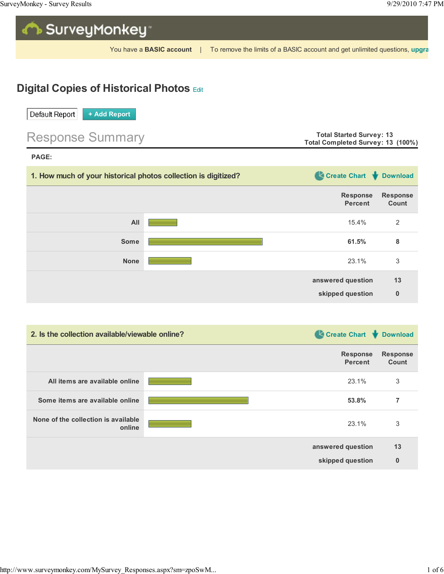

You have a BASIC account | To remove the limits of a BASIC account and get unlimited questions, upgra

## **Digital Copies of Historical Photos Edit**



| 1. How much of your historical photos collection is digitized? | Create Chart Download             |                          |
|----------------------------------------------------------------|-----------------------------------|--------------------------|
|                                                                | <b>Response</b><br><b>Percent</b> | <b>Response</b><br>Count |
| All                                                            | 15.4%                             | $\overline{2}$           |
| <b>Some</b>                                                    | 61.5%                             | 8                        |
| <b>None</b>                                                    | 23.1%                             | 3                        |
|                                                                | answered question                 | 13                       |
|                                                                | skipped question                  | $\bf{0}$                 |

| 2. Is the collection available/viewable online? | Create Chart Cownload             |                          |
|-------------------------------------------------|-----------------------------------|--------------------------|
|                                                 | <b>Response</b><br><b>Percent</b> | <b>Response</b><br>Count |
| All items are available online                  | 23.1%                             | 3                        |
| Some items are available online                 | 53.8%                             | 7                        |
| None of the collection is available<br>online   | 23.1%                             | 3                        |
|                                                 | answered question                 | 13                       |
|                                                 | skipped question                  | $\bf{0}$                 |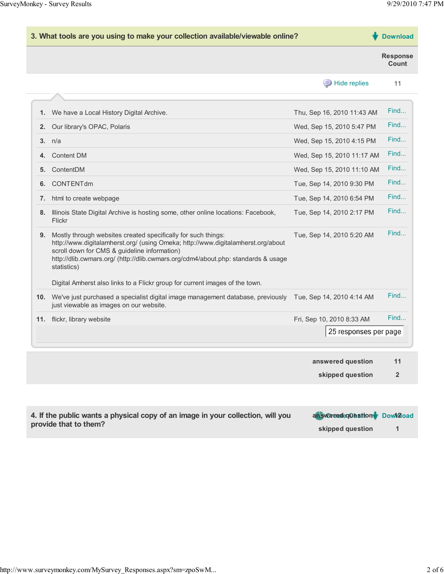| 3. What tools are you using to make your collection available/viewable online? |                                                                                                                                                                                                                                                                                                       | <b>Download</b>            |                          |
|--------------------------------------------------------------------------------|-------------------------------------------------------------------------------------------------------------------------------------------------------------------------------------------------------------------------------------------------------------------------------------------------------|----------------------------|--------------------------|
|                                                                                |                                                                                                                                                                                                                                                                                                       |                            | <b>Response</b><br>Count |
|                                                                                |                                                                                                                                                                                                                                                                                                       | <b>E</b> Hide replies      | 11                       |
|                                                                                |                                                                                                                                                                                                                                                                                                       |                            | Find                     |
| 1.                                                                             | We have a Local History Digital Archive.                                                                                                                                                                                                                                                              | Thu, Sep 16, 2010 11:43 AM |                          |
| 2.                                                                             | Our library's OPAC, Polaris                                                                                                                                                                                                                                                                           | Wed, Sep 15, 2010 5:47 PM  | Find                     |
| 3 <sub>1</sub>                                                                 | n/a                                                                                                                                                                                                                                                                                                   | Wed, Sep 15, 2010 4:15 PM  | Find                     |
| 4.                                                                             | <b>Content DM</b>                                                                                                                                                                                                                                                                                     | Wed, Sep 15, 2010 11:17 AM | Find                     |
| 5.                                                                             | ContentDM                                                                                                                                                                                                                                                                                             | Wed, Sep 15, 2010 11:10 AM | Find                     |
| 6.                                                                             | CONTENTdm                                                                                                                                                                                                                                                                                             | Tue, Sep 14, 2010 9:30 PM  | Find                     |
| 7.                                                                             | html to create webpage                                                                                                                                                                                                                                                                                | Tue, Sep 14, 2010 6:54 PM  | Find                     |
| 8.                                                                             | Illinois State Digital Archive is hosting some, other online locations: Facebook,<br>Flickr                                                                                                                                                                                                           | Tue, Sep 14, 2010 2:17 PM  | Find                     |
| 9.                                                                             | Mostly through websites created specifically for such things:<br>http://www.digitalamherst.org/ (using Omeka; http://www.digitalamherst.org/about<br>scroll down for CMS & guideline information)<br>http://dlib.cwmars.org/ (http://dlib.cwmars.org/cdm4/about.php: standards & usage<br>statistics) | Tue, Sep 14, 2010 5:20 AM  | Find                     |
|                                                                                | Digital Amherst also links to a Flickr group for current images of the town.                                                                                                                                                                                                                          |                            |                          |
| 10.                                                                            | We've just purchased a specialist digital image management database, previously<br>just viewable as images on our website.                                                                                                                                                                            | Tue, Sep 14, 2010 4:14 AM  | Find                     |
|                                                                                | 11. flickr, library website                                                                                                                                                                                                                                                                           | Fri, Sep 10, 2010 8:33 AM  | Find                     |
|                                                                                |                                                                                                                                                                                                                                                                                                       | 25 responses per page      |                          |
|                                                                                |                                                                                                                                                                                                                                                                                                       | answered question          | 11                       |
|                                                                                |                                                                                                                                                                                                                                                                                                       | skipped question           | $\overline{2}$           |

| 4. If the public wants a physical copy of an image in your collection, will you | answered equastion Down2oad |  |
|---------------------------------------------------------------------------------|-----------------------------|--|
| provide that to them?                                                           | skipped question            |  |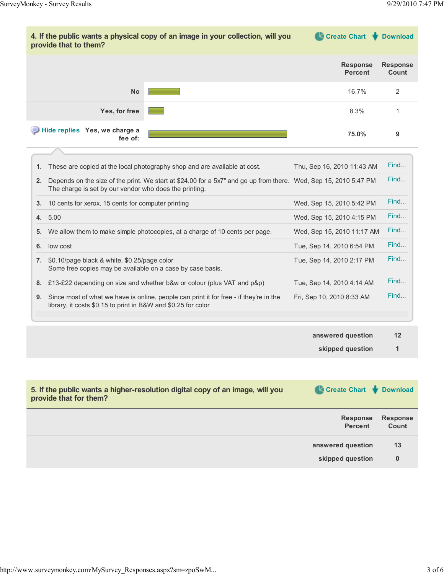

|    | 1. These are copied at the local photography shop and are available at cost.                                                                                               | Thu, Sep 16, 2010 11:43 AM | Find |
|----|----------------------------------------------------------------------------------------------------------------------------------------------------------------------------|----------------------------|------|
| 2. | Depends on the size of the print. We start at \$24.00 for a 5x7" and go up from there. Wed, Sep 15, 2010 5:47 PM<br>The charge is set by our vendor who does the printing. |                            | Find |
| 3. | 10 cents for xerox, 15 cents for computer printing                                                                                                                         | Wed, Sep 15, 2010 5:42 PM  | Find |
|    | 4. 5.00                                                                                                                                                                    | Wed, Sep 15, 2010 4:15 PM  | Find |
| 5. | We allow them to make simple photocopies, at a charge of 10 cents per page.                                                                                                | Wed, Sep 15, 2010 11:17 AM | Find |
| 6. | low cost                                                                                                                                                                   | Tue, Sep 14, 2010 6:54 PM  | Find |
| 7. | \$0.10/page black & white, \$0.25/page color<br>Some free copies may be available on a case by case basis.                                                                 | Tue, Sep 14, 2010 2:17 PM  | Find |
| 8. | £13-£22 depending on size and whether b&w or colour (plus VAT and p&p)                                                                                                     | Tue, Sep 14, 2010 4:14 AM  | Find |
| 9. | Since most of what we have is online, people can print it for free - if they're in the<br>library, it costs \$0.15 to print in B&W and \$0.25 for color                    | Fri, Sep 10, 2010 8:33 AM  | Find |
|    |                                                                                                                                                                            |                            |      |

| answered question | 12 |
|-------------------|----|
| skipped question  |    |

| 5. If the public wants a higher-resolution digital copy of an image, will you<br>provide that for them? | Create Chart Cownload             |                          |
|---------------------------------------------------------------------------------------------------------|-----------------------------------|--------------------------|
|                                                                                                         | <b>Response</b><br><b>Percent</b> | <b>Response</b><br>Count |
|                                                                                                         | answered question                 | 13                       |
|                                                                                                         | skipped question                  | 0                        |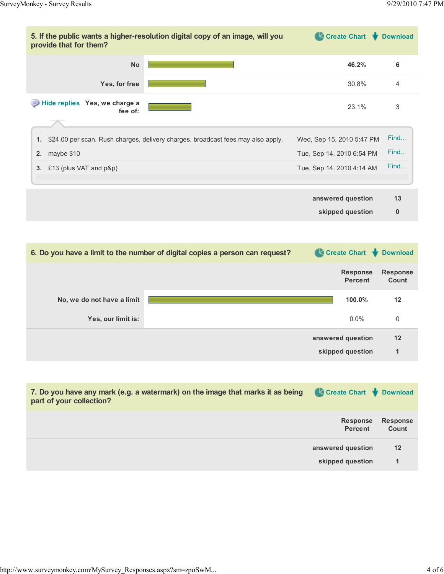| provide that for them?                   | 5. If the public wants a higher-resolution digital copy of an image, will you    | Create Chart Cownload             |                          |
|------------------------------------------|----------------------------------------------------------------------------------|-----------------------------------|--------------------------|
| <b>No</b>                                |                                                                                  | 46.2%                             | 6                        |
| Yes, for free                            |                                                                                  | 30.8%                             | 4                        |
| Hide replies Yes, we charge a<br>fee of: |                                                                                  | 23.1%                             | 3                        |
| 1.                                       | \$24.00 per scan. Rush charges, delivery charges, broadcast fees may also apply. | Wed, Sep 15, 2010 5:47 PM         | Find                     |
| maybe \$10<br>2.                         |                                                                                  | Tue, Sep 14, 2010 6:54 PM         | Find                     |
| £13 (plus VAT and p&p)<br>3 <sub>1</sub> |                                                                                  | Tue, Sep 14, 2010 4:14 AM         | Find                     |
|                                          |                                                                                  | answered question                 | 13                       |
|                                          |                                                                                  | skipped question                  | $\bf{0}$                 |
|                                          |                                                                                  |                                   |                          |
|                                          | 6. Do you have a limit to the number of digital copies a person can request?     | Create Chart Download             |                          |
|                                          |                                                                                  | <b>Response</b><br><b>Percent</b> | <b>Response</b><br>Count |
| No, we do not have a limit               |                                                                                  | 100.0%                            | 12                       |

| ॱ▌∠ | <b>TUU.U70</b>    | NO, we do not have a limit |
|-----|-------------------|----------------------------|
|     | $0.0\%$           | Yes, our limit is:         |
| 12  | answered question |                            |
|     | skipped question  |                            |
|     |                   |                            |

| 7. Do you have any mark (e.g. a watermark) on the image that marks it as being<br>part of your collection? | Create Chart Download                 |                          |
|------------------------------------------------------------------------------------------------------------|---------------------------------------|--------------------------|
|                                                                                                            | <b>Response</b><br><b>Percent</b>     | <b>Response</b><br>Count |
|                                                                                                            | answered question<br>skipped question | $12 \,$<br>1             |
|                                                                                                            |                                       |                          |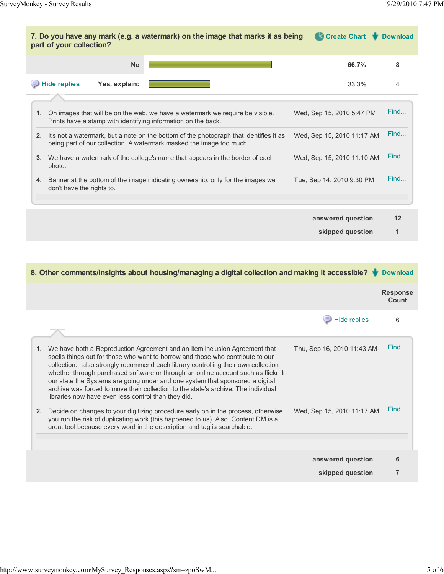| Create Chart<br>7. Do you have any mark (e.g. a watermark) on the image that marks it as being<br><b>Download</b><br>part of your collection?                        |                            |      |
|----------------------------------------------------------------------------------------------------------------------------------------------------------------------|----------------------------|------|
| <b>No</b>                                                                                                                                                            | 66.7%                      | 8    |
| <b>Hide replies</b><br>Yes, explain:                                                                                                                                 | 33.3%                      | 4    |
| On images that will be on the web, we have a watermark we require be visible.<br>1.<br>Prints have a stamp with identifying information on the back.                 | Wed, Sep 15, 2010 5:47 PM  | Find |
| It's not a watermark, but a note on the bottom of the photograph that identifies it as<br>2.<br>being part of our collection. A watermark masked the image too much. | Wed, Sep 15, 2010 11:17 AM | Find |
| We have a watermark of the college's name that appears in the border of each<br>3.<br>photo.                                                                         | Wed, Sep 15, 2010 11:10 AM | Find |
| Banner at the bottom of the image indicating ownership, only for the images we<br>4.<br>don't have the rights to.                                                    | Tue, Sep 14, 2010 9:30 PM  | Find |
|                                                                                                                                                                      | answered question          | 12   |
|                                                                                                                                                                      | skipped question           |      |

| 8. Other comments/insights about housing/managing a digital collection and making it accessible?<br><b>Download</b>                                                                                                                                                                                                                                                                                                                                                                                                                                                           |                            |                                 |
|-------------------------------------------------------------------------------------------------------------------------------------------------------------------------------------------------------------------------------------------------------------------------------------------------------------------------------------------------------------------------------------------------------------------------------------------------------------------------------------------------------------------------------------------------------------------------------|----------------------------|---------------------------------|
|                                                                                                                                                                                                                                                                                                                                                                                                                                                                                                                                                                               |                            | <b>Response</b><br><b>Count</b> |
|                                                                                                                                                                                                                                                                                                                                                                                                                                                                                                                                                                               | Hide replies               | 6                               |
| We have both a Reproduction Agreement and an Item Inclusion Agreement that<br>1.<br>spells things out for those who want to borrow and those who contribute to our<br>collection. I also strongly recommend each library controlling their own collection<br>whether through purchased software or through an online account such as flickr. In<br>our state the Systems are going under and one system that sponsored a digital<br>archive was forced to move their collection to the state's archive. The individual<br>libraries now have even less control than they did. | Thu, Sep 16, 2010 11:43 AM | Find                            |
| Decide on changes to your digitizing procedure early on in the process, otherwise<br>2.<br>you run the risk of duplicating work (this happened to us). Also, Content DM is a<br>great tool because every word in the description and tag is searchable.                                                                                                                                                                                                                                                                                                                       | Wed, Sep 15, 2010 11:17 AM | Find                            |
|                                                                                                                                                                                                                                                                                                                                                                                                                                                                                                                                                                               | answered question          | 6                               |
|                                                                                                                                                                                                                                                                                                                                                                                                                                                                                                                                                                               | skipped question           | 7                               |